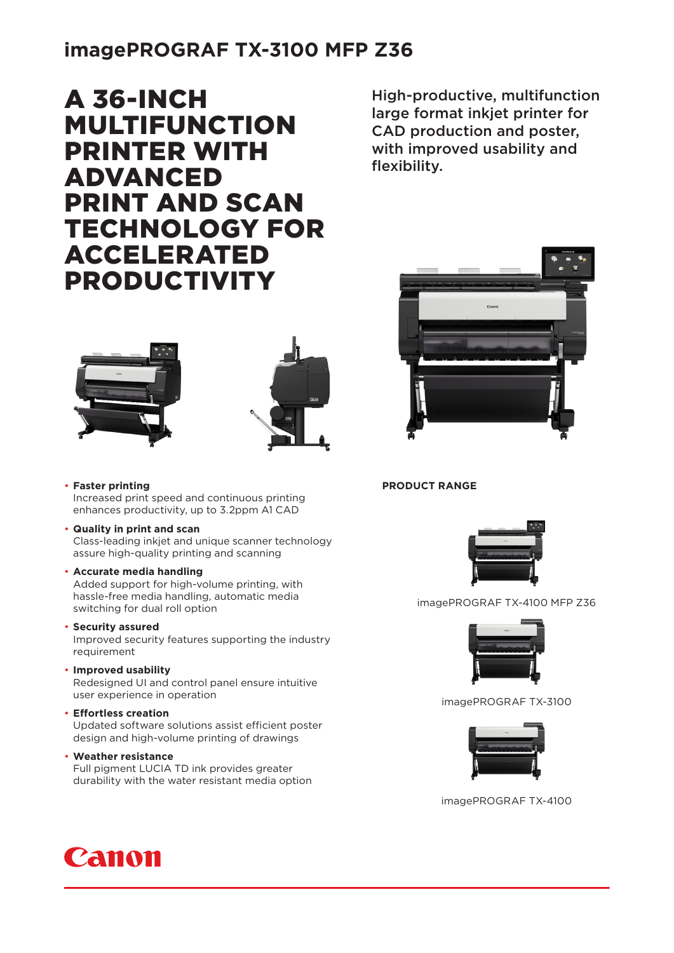## **imagePROGRAF TX-3100 MFP Z36**

A 36-INCH MULTIFUNCTION PRINTER WITH ADVANCED PRINT AND SCAN TECHNOLOGY FOR ACCELERATED PRODUCTIVITY

High-productive, multifunction large format inkjet printer for CAD production and poster, with improved usability and flexibility.





- **Faster printing** Increased print speed and continuous printing enhances productivity, up to 3.2ppm A1 CAD
- **Quality in print and scan** Class-leading inkjet and unique scanner technology assure high-quality printing and scanning
- **Accurate media handling**

Added support for high-volume printing, with hassle-free media handling, automatic media switching for dual roll option

• **Security assured**

Improved security features supporting the industry requirement

• **Improved usability**

Redesigned UI and control panel ensure intuitive user experience in operation

• **Effortless creation**

Updated software solutions assist efficient poster design and high-volume printing of drawings

• **Weather resistance**

Full pigment LUCIA TD ink provides greater durability with the water resistant media option



**PRODUCT RANGE**

imagePROGRAF TX-4100 MFP Z36



imagePROGRAF TX-3100



imagePROGRAF TX-4100